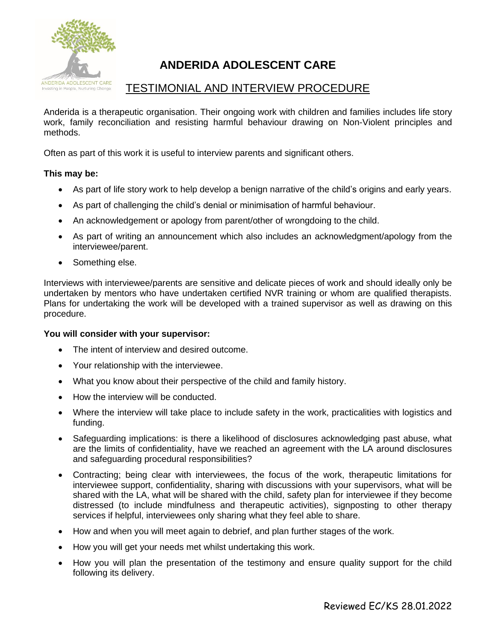

# **ANDERIDA ADOLESCENT CARE**

# TESTIMONIAL AND INTERVIEW PROCEDURE

Anderida is a therapeutic organisation. Their ongoing work with children and families includes life story work, family reconciliation and resisting harmful behaviour drawing on Non-Violent principles and methods.

Often as part of this work it is useful to interview parents and significant others.

## **This may be:**

- As part of life story work to help develop a benign narrative of the child's origins and early years.
- As part of challenging the child's denial or minimisation of harmful behaviour.
- An acknowledgement or apology from parent/other of wrongdoing to the child.
- As part of writing an announcement which also includes an acknowledgment/apology from the interviewee/parent.
- Something else.

Interviews with interviewee/parents are sensitive and delicate pieces of work and should ideally only be undertaken by mentors who have undertaken certified NVR training or whom are qualified therapists. Plans for undertaking the work will be developed with a trained supervisor as well as drawing on this procedure.

## **You will consider with your supervisor:**

- The intent of interview and desired outcome.
- Your relationship with the interviewee.
- What you know about their perspective of the child and family history.
- How the interview will be conducted.
- Where the interview will take place to include safety in the work, practicalities with logistics and funding.
- Safeguarding implications: is there a likelihood of disclosures acknowledging past abuse, what are the limits of confidentiality, have we reached an agreement with the LA around disclosures and safeguarding procedural responsibilities?
- Contracting; being clear with interviewees, the focus of the work, therapeutic limitations for interviewee support, confidentiality, sharing with discussions with your supervisors, what will be shared with the LA, what will be shared with the child, safety plan for interviewee if they become distressed (to include mindfulness and therapeutic activities), signposting to other therapy services if helpful, interviewees only sharing what they feel able to share.
- How and when you will meet again to debrief, and plan further stages of the work.
- How you will get your needs met whilst undertaking this work.
- How you will plan the presentation of the testimony and ensure quality support for the child following its delivery.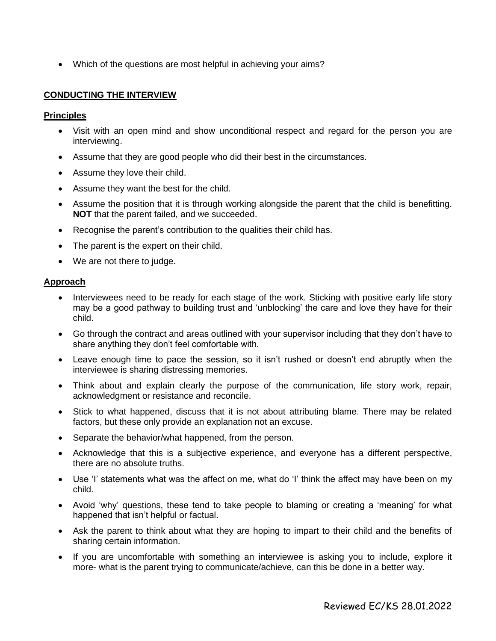• Which of the questions are most helpful in achieving your aims?

## **CONDUCTING THE INTERVIEW**

#### **Principles**

- Visit with an open mind and show unconditional respect and regard for the person you are interviewing.
- Assume that they are good people who did their best in the circumstances.
- Assume they love their child.
- Assume they want the best for the child.
- Assume the position that it is through working alongside the parent that the child is benefitting. **NOT** that the parent failed, and we succeeded.
- Recognise the parent's contribution to the qualities their child has.
- The parent is the expert on their child.
- We are not there to judge.

#### **Approach**

- Interviewees need to be ready for each stage of the work. Sticking with positive early life story may be a good pathway to building trust and 'unblocking' the care and love they have for their child.
- Go through the contract and areas outlined with your supervisor including that they don't have to share anything they don't feel comfortable with.
- Leave enough time to pace the session, so it isn't rushed or doesn't end abruptly when the interviewee is sharing distressing memories.
- Think about and explain clearly the purpose of the communication, life story work, repair, acknowledgment or resistance and reconcile.
- Stick to what happened, discuss that it is not about attributing blame. There may be related factors, but these only provide an explanation not an excuse.
- Separate the behavior/what happened, from the person.
- Acknowledge that this is a subjective experience, and everyone has a different perspective, there are no absolute truths.
- Use 'I' statements what was the affect on me, what do 'I' think the affect may have been on my child.
- Avoid 'why' questions, these tend to take people to blaming or creating a 'meaning' for what happened that isn't helpful or factual.
- Ask the parent to think about what they are hoping to impart to their child and the benefits of sharing certain information.
- If you are uncomfortable with something an interviewee is asking you to include, explore it more- what is the parent trying to communicate/achieve, can this be done in a better way.